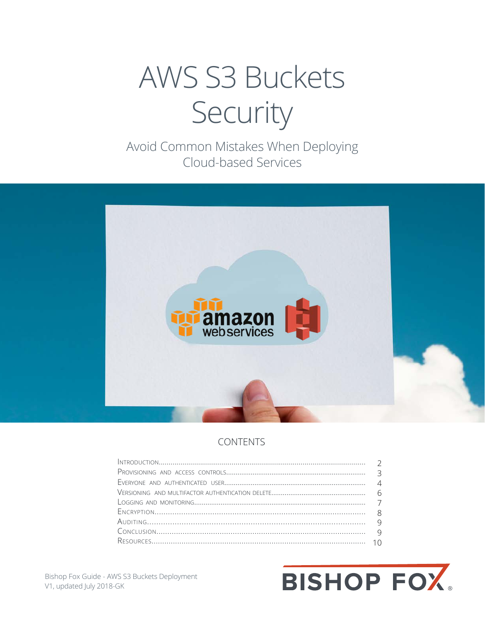# **AWS S3 Buckets** Security

Avoid Common Mistakes When Deploying Cloud-based Services



#### **CONTENTS**

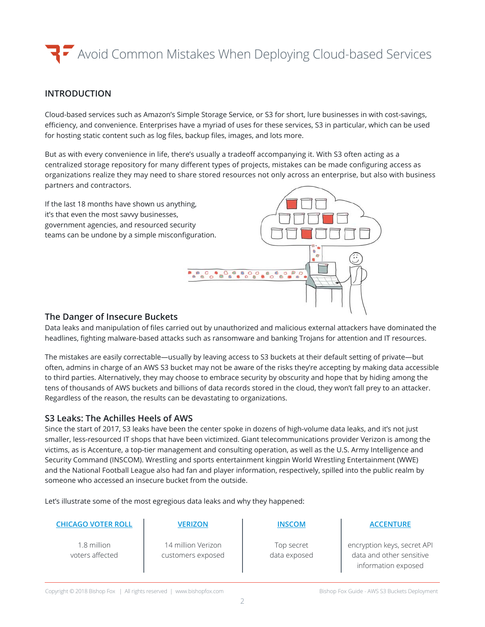#### **INTRODUCTION**

Cloud-based services such as Amazon's Simple Storage Service, or S3 for short, lure businesses in with cost-savings, efficiency, and convenience. Enterprises have a myriad of uses for these services, S3 in particular, which can be used for hosting static content such as log files, backup files, images, and lots more.

But as with every convenience in life, there's usually a tradeoff accompanying it. With S3 often acting as a centralized storage repository for many different types of projects, mistakes can be made configuring access as organizations realize they may need to share stored resources not only across an enterprise, but also with business partners and contractors.

If the last 18 months have shown us anything, it's that even the most savvy businesses, government agencies, and resourced security teams can be undone by a simple misconfiguration.



#### **The Danger of Insecure Buckets**

Data leaks and manipulation of files carried out by unauthorized and malicious external attackers have dominated the headlines, fighting malware-based attacks such as ransomware and banking Trojans for attention and IT resources.

The mistakes are easily correctable—usually by leaving access to S3 buckets at their default setting of private—but often, admins in charge of an AWS S3 bucket may not be aware of the risks they're accepting by making data accessible to third parties. Alternatively, they may choose to embrace security by obscurity and hope that by hiding among the tens of thousands of AWS buckets and billions of data records stored in the cloud, they won't fall prey to an attacker. Regardless of the reason, the results can be devastating to organizations.

#### **S3 Leaks: The Achilles Heels of AWS**

Since the start of 2017, S3 leaks have been the center spoke in dozens of high-volume data leaks, and it's not just smaller, less-resourced IT shops that have been victimized. Giant telecommunications provider Verizon is among the victims, as is Accenture, a top-tier management and consulting operation, as well as the U.S. Army Intelligence and Security Command (INSCOM). Wrestling and sports entertainment kingpin World Wrestling Entertainment (WWE) and the National Football League also had fan and player information, respectively, spilled into the public realm by someone who accessed an insecure bucket from the outside.

Let's illustrate some of the most egregious data leaks and why they happened:

| <b>CHICAGO VOTER ROLL</b>      | <b>VERIZON</b>                          | <b>INSCOM</b>              | <b>ACCENTURE</b>                                                               |
|--------------------------------|-----------------------------------------|----------------------------|--------------------------------------------------------------------------------|
| 1.8 million<br>voters affected | 14 million Verizon<br>customers exposed | Top secret<br>data exposed | encryption keys, secret API<br>data and other sensitive<br>information exposed |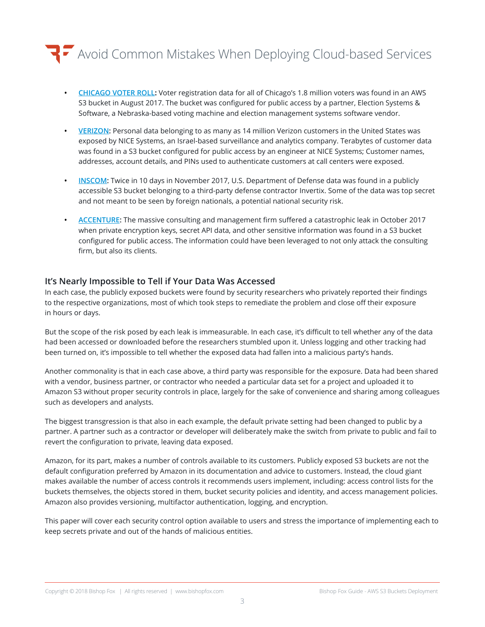### $\blacktriangleright$  Avoid Common Mistakes When Deploying Cloud-based Services

- **• [CHICAGO VOTER ROLL](https://app.chicagoelections.com/documents/general/CBOE-Statement-Re-ESS-Voter-Data-2017-08-17.pdf
):** Voter registration data for all of Chicago's 1.8 million voters was found in an AWS S3 bucket in August 2017. The bucket was configured for public access by a partner, Election Systems & Software, a Nebraska-based voting machine and election management systems software vendor.
- **• [VERIZON:](https://kromtech.com/blog/security-center/verizon-wireless-employee-exposed-confidential-data-online)** Personal data belonging to as many as 14 million Verizon customers in the United States was exposed by NICE Systems, an Israel-based surveillance and analytics company. Terabytes of customer data was found in a S3 bucket configured for public access by an engineer at NICE Systems; Customer names, addresses, account details, and PINs used to authenticate customers at call centers were exposed.
- **• [INSCOM](https://www.upguard.com/breaches/cloud-leak-inscom):** Twice in 10 days in November 2017, U.S. Department of Defense data was found in a publicly accessible S3 bucket belonging to a third-party defense contractor Invertix. Some of the data was top secret and not meant to be seen by foreign nationals, a potential national security risk.
- **• [ACCENTURE](https://www.upguard.com/breaches/cloud-leak-accenture):** The massive consulting and management firm suffered a catastrophic leak in October 2017 when private encryption keys, secret API data, and other sensitive information was found in a S3 bucket configured for public access. The information could have been leveraged to not only attack the consulting firm, but also its clients.

#### **It's Nearly Impossible to Tell if Your Data Was Accessed**

In each case, the publicly exposed buckets were found by security researchers who privately reported their findings to the respective organizations, most of which took steps to remediate the problem and close off their exposure in hours or days.

But the scope of the risk posed by each leak is immeasurable. In each case, it's difficult to tell whether any of the data had been accessed or downloaded before the researchers stumbled upon it. Unless logging and other tracking had been turned on, it's impossible to tell whether the exposed data had fallen into a malicious party's hands.

Another commonality is that in each case above, a third party was responsible for the exposure. Data had been shared with a vendor, business partner, or contractor who needed a particular data set for a project and uploaded it to Amazon S3 without proper security controls in place, largely for the sake of convenience and sharing among colleagues such as developers and analysts.

The biggest transgression is that also in each example, the default private setting had been changed to public by a partner. A partner such as a contractor or developer will deliberately make the switch from private to public and fail to revert the configuration to private, leaving data exposed.

Amazon, for its part, makes a number of controls available to its customers. Publicly exposed S3 buckets are not the default configuration preferred by Amazon in its documentation and advice to customers. Instead, the cloud giant makes available the number of access controls it recommends users implement, including: access control lists for the buckets themselves, the objects stored in them, bucket security policies and identity, and access management policies. Amazon also provides versioning, multifactor authentication, logging, and encryption.

This paper will cover each security control option available to users and stress the importance of implementing each to keep secrets private and out of the hands of malicious entities.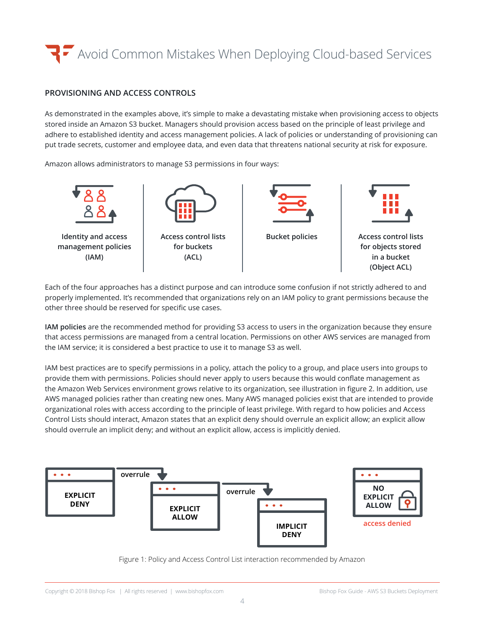#### **PROVISIONING AND ACCESS CONTROLS**

As demonstrated in the examples above, it's simple to make a devastating mistake when provisioning access to objects stored inside an Amazon S3 bucket. Managers should provision access based on the principle of least privilege and adhere to established identity and access management policies. A lack of policies or understanding of provisioning can put trade secrets, customer and employee data, and even data that threatens national security at risk for exposure.

Amazon allows administrators to manage S3 permissions in four ways:



Each of the four approaches has a distinct purpose and can introduce some confusion if not strictly adhered to and properly implemented. It's recommended that organizations rely on an IAM policy to grant permissions because the other three should be reserved for specific use cases.

**IAM policies** are the recommended method for providing S3 access to users in the organization because they ensure that access permissions are managed from a central location. Permissions on other AWS services are managed from the IAM service; it is considered a best practice to use it to manage S3 as well.

IAM best practices are to specify permissions in a policy, attach the policy to a group, and place users into groups to provide them with permissions. Policies should never apply to users because this would conflate management as the Amazon Web Services environment grows relative to its organization, see illustration in figure 2. In addition, use AWS managed policies rather than creating new ones. Many AWS managed policies exist that are intended to provide organizational roles with access according to the principle of least privilege. With regard to how policies and Access Control Lists should interact, Amazon states that an explicit deny should overrule an explicit allow; an explicit allow should overrule an implicit deny; and without an explicit allow, access is implicitly denied.



Figure 1: Policy and Access Control List interaction recommended by Amazon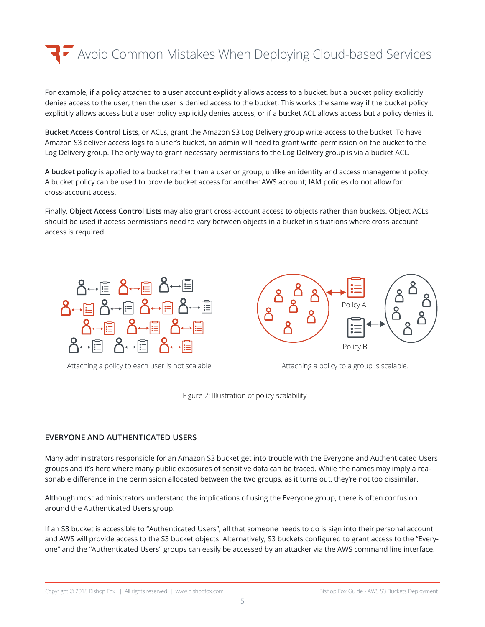

For example, if a policy attached to a user account explicitly allows access to a bucket, but a bucket policy explicitly denies access to the user, then the user is denied access to the bucket. This works the same way if the bucket policy explicitly allows access but a user policy explicitly denies access, or if a bucket ACL allows access but a policy denies it.

**Bucket Access Control Lists**, or ACLs, grant the Amazon S3 Log Delivery group write-access to the bucket. To have Amazon S3 deliver access logs to a user's bucket, an admin will need to grant write-permission on the bucket to the Log Delivery group. The only way to grant necessary permissions to the Log Delivery group is via a bucket ACL.

**A bucket policy** is applied to a bucket rather than a user or group, unlike an identity and access management policy. A bucket policy can be used to provide bucket access for another AWS account; IAM policies do not allow for cross-account access.

Finally, **Object Access Control Lists** may also grant cross-account access to objects rather than buckets. Object ACLs should be used if access permissions need to vary between objects in a bucket in situations where cross-account access is required.



Attaching a policy to each user is not scalable Attaching a policy to a group is scalable.



Figure 2: Illustration of policy scalability

#### **EVERYONE AND AUTHENTICATED USERS**

Many administrators responsible for an Amazon S3 bucket get into trouble with the Everyone and Authenticated Users groups and it's here where many public exposures of sensitive data can be traced. While the names may imply a reasonable difference in the permission allocated between the two groups, as it turns out, they're not too dissimilar.

Although most administrators understand the implications of using the Everyone group, there is often confusion around the Authenticated Users group.

If an S3 bucket is accessible to "Authenticated Users", all that someone needs to do is sign into their personal account and AWS will provide access to the S3 bucket objects. Alternatively, S3 buckets configured to grant access to the "Everyone" and the "Authenticated Users" groups can easily be accessed by an attacker via the AWS command line interface.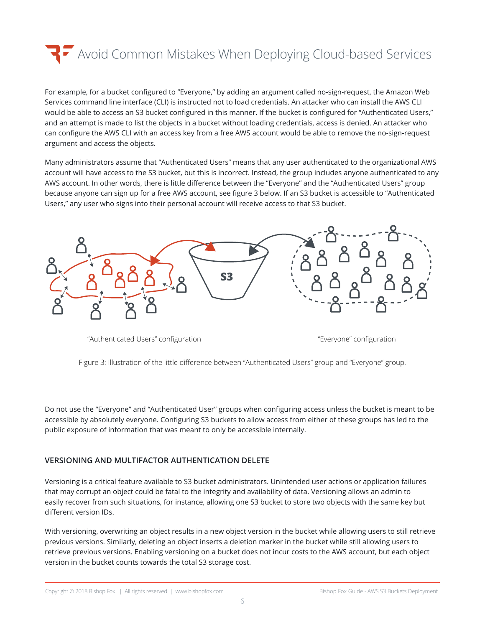For example, for a bucket configured to "Everyone," by adding an argument called no-sign-request, the Amazon Web Services command line interface (CLI) is instructed not to load credentials. An attacker who can install the AWS CLI would be able to access an S3 bucket configured in this manner. If the bucket is configured for "Authenticated Users," and an attempt is made to list the objects in a bucket without loading credentials, access is denied. An attacker who can configure the AWS CLI with an access key from a free AWS account would be able to remove the no-sign-request argument and access the objects.

Many administrators assume that "Authenticated Users" means that any user authenticated to the organizational AWS account will have access to the S3 bucket, but this is incorrect. Instead, the group includes anyone authenticated to any AWS account. In other words, there is little difference between the "Everyone" and the "Authenticated Users" group because anyone can sign up for a free AWS account, see figure 3 below. If an S3 bucket is accessible to "Authenticated Users," any user who signs into their personal account will receive access to that S3 bucket.



"Authenticated Users" configuration "Everyone" configuration

Figure 3: Illustration of the little difference between "Authenticated Users" group and "Everyone" group.

Do not use the "Everyone" and "Authenticated User" groups when configuring access unless the bucket is meant to be accessible by absolutely everyone. Configuring S3 buckets to allow access from either of these groups has led to the public exposure of information that was meant to only be accessible internally.

#### **VERSIONING AND MULTIFACTOR AUTHENTICATION DELETE**

Versioning is a critical feature available to S3 bucket administrators. Unintended user actions or application failures that may corrupt an object could be fatal to the integrity and availability of data. Versioning allows an admin to easily recover from such situations, for instance, allowing one S3 bucket to store two objects with the same key but different version IDs.

With versioning, overwriting an object results in a new object version in the bucket while allowing users to still retrieve previous versions. Similarly, deleting an object inserts a deletion marker in the bucket while still allowing users to retrieve previous versions. Enabling versioning on a bucket does not incur costs to the AWS account, but each object version in the bucket counts towards the total S3 storage cost.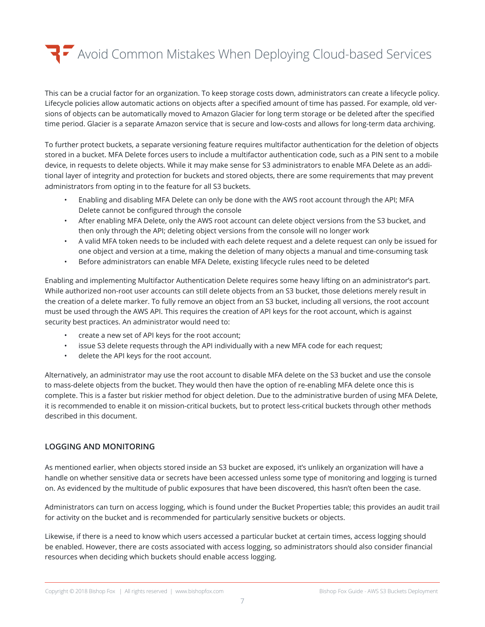This can be a crucial factor for an organization. To keep storage costs down, administrators can create a lifecycle policy. Lifecycle policies allow automatic actions on objects after a specified amount of time has passed. For example, old versions of objects can be automatically moved to Amazon Glacier for long term storage or be deleted after the specified time period. Glacier is a separate Amazon service that is secure and low-costs and allows for long-term data archiving.

To further protect buckets, a separate versioning feature requires multifactor authentication for the deletion of objects stored in a bucket. MFA Delete forces users to include a multifactor authentication code, such as a PIN sent to a mobile device, in requests to delete objects. While it may make sense for S3 administrators to enable MFA Delete as an additional layer of integrity and protection for buckets and stored objects, there are some requirements that may prevent administrators from opting in to the feature for all S3 buckets.

- Enabling and disabling MFA Delete can only be done with the AWS root account through the API; MFA Delete cannot be configured through the console
- After enabling MFA Delete, only the AWS root account can delete object versions from the S3 bucket, and then only through the API; deleting object versions from the console will no longer work
- A valid MFA token needs to be included with each delete request and a delete request can only be issued for one object and version at a time, making the deletion of many objects a manual and time-consuming task
- Before administrators can enable MFA Delete, existing lifecycle rules need to be deleted

Enabling and implementing Multifactor Authentication Delete requires some heavy lifting on an administrator's part. While authorized non-root user accounts can still delete objects from an S3 bucket, those deletions merely result in the creation of a delete marker. To fully remove an object from an S3 bucket, including all versions, the root account must be used through the AWS API. This requires the creation of API keys for the root account, which is against security best practices. An administrator would need to:

- create a new set of API keys for the root account;
- issue S3 delete requests through the API individually with a new MFA code for each request;
- delete the API keys for the root account.

Alternatively, an administrator may use the root account to disable MFA delete on the S3 bucket and use the console to mass-delete objects from the bucket. They would then have the option of re-enabling MFA delete once this is complete. This is a faster but riskier method for object deletion. Due to the administrative burden of using MFA Delete, it is recommended to enable it on mission-critical buckets, but to protect less-critical buckets through other methods described in this document.

#### **LOGGING AND MONITORING**

As mentioned earlier, when objects stored inside an S3 bucket are exposed, it's unlikely an organization will have a handle on whether sensitive data or secrets have been accessed unless some type of monitoring and logging is turned on. As evidenced by the multitude of public exposures that have been discovered, this hasn't often been the case.

Administrators can turn on access logging, which is found under the Bucket Properties table; this provides an audit trail for activity on the bucket and is recommended for particularly sensitive buckets or objects.

Likewise, if there is a need to know which users accessed a particular bucket at certain times, access logging should be enabled. However, there are costs associated with access logging, so administrators should also consider financial resources when deciding which buckets should enable access logging.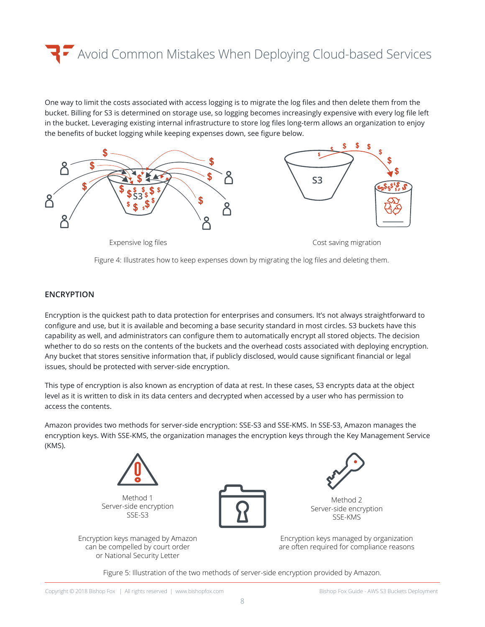One way to limit the costs associated with access logging is to migrate the log files and then delete them from the bucket. Billing for S3 is determined on storage use, so logging becomes increasingly expensive with every log file left in the bucket. Leveraging existing internal infrastructure to store log files long-term allows an organization to enjoy the benefits of bucket logging while keeping expenses down, see figure below.



Figure 4: Illustrates how to keep expenses down by migrating the log files and deleting them.

#### **ENCRYPTION**

Encryption is the quickest path to data protection for enterprises and consumers. It's not always straightforward to configure and use, but it is available and becoming a base security standard in most circles. S3 buckets have this capability as well, and administrators can configure them to automatically encrypt all stored objects. The decision whether to do so rests on the contents of the buckets and the overhead costs associated with deploying encryption. Any bucket that stores sensitive information that, if publicly disclosed, would cause significant financial or legal issues, should be protected with server-side encryption.

This type of encryption is also known as encryption of data at rest. In these cases, S3 encrypts data at the object level as it is written to disk in its data centers and decrypted when accessed by a user who has permission to access the contents.

Amazon provides two methods for server-side encryption: SSE-S3 and SSE-KMS. In SSE-S3, Amazon manages the encryption keys. With SSE-KMS, the organization manages the encryption keys through the Key Management Service (KMS).



Method 1 Server-side encryption SSE-S3

Encryption keys managed by Amazon can be compelled by court order or National Security Letter



Method 2 Server-side encryption SSE-KMS

Encryption keys managed by organization are often required for compliance reasons

Figure 5: Illustration of the two methods of server-side encryption provided by Amazon.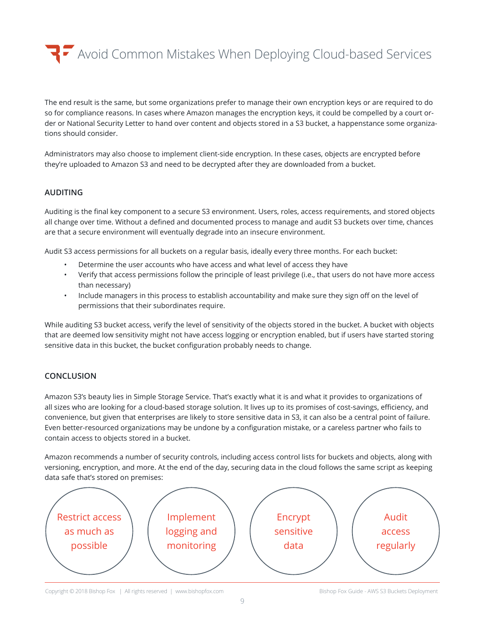Avoid Common Mistakes When Deploying Cloud-based Services Avoid Common Mistakes When Deploying Cloud-based Services

The end result is the same, but some organizations prefer to manage their own encryption keys or are required to do so for compliance reasons. In cases where Amazon manages the encryption keys, it could be compelled by a court order or National Security Letter to hand over content and objects stored in a S3 bucket, a happenstance some organizations should consider.

Administrators may also choose to implement client-side encryption. In these cases, objects are encrypted before they're uploaded to Amazon S3 and need to be decrypted after they are downloaded from a bucket.

#### **AUDITING**

Auditing is the final key component to a secure S3 environment. Users, roles, access requirements, and stored objects all change over time. Without a defined and documented process to manage and audit S3 buckets over time, chances are that a secure environment will eventually degrade into an insecure environment.

Audit S3 access permissions for all buckets on a regular basis, ideally every three months. For each bucket:

- Determine the user accounts who have access and what level of access they have
- Verify that access permissions follow the principle of least privilege (i.e., that users do not have more access than necessary)
- Include managers in this process to establish accountability and make sure they sign off on the level of permissions that their subordinates require.

While auditing S3 bucket access, verify the level of sensitivity of the objects stored in the bucket. A bucket with objects that are deemed low sensitivity might not have access logging or encryption enabled, but if users have started storing sensitive data in this bucket, the bucket configuration probably needs to change.

#### **CONCLUSION**

Amazon S3's beauty lies in Simple Storage Service. That's exactly what it is and what it provides to organizations of all sizes who are looking for a cloud-based storage solution. It lives up to its promises of cost-savings, efficiency, and convenience, but given that enterprises are likely to store sensitive data in S3, it can also be a central point of failure. Even better-resourced organizations may be undone by a configuration mistake, or a careless partner who fails to contain access to objects stored in a bucket.

Amazon recommends a number of security controls, including access control lists for buckets and objects, along with versioning, encryption, and more. At the end of the day, securing data in the cloud follows the same script as keeping data safe that's stored on premises: